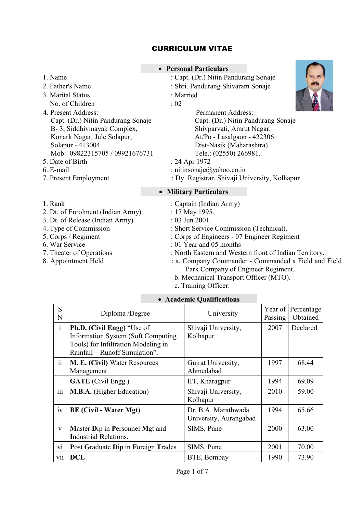# CURRICULUM VITAE

|  | Name |
|--|------|
|--|------|

- 
- 3. Marital Status : Married No. of Children : 02
- 4. Present Address: Permanent Address: Capt. (Dr.) Nitin Pandurang Sonaje B- 3, Siddhivinayak Complex, Konark Nagar, Jule Solapur, Solapur - 413004 Mob: 09822315705 / 09921676731 5. Date of Birth : 24 Apr 1972
- 
- 
- 
- 
- 
- 
- 
- 
- 
- 
- 
- Personal Particulars
	- : Capt. (Dr.) Nitin Pandurang Sonaje
- 2. Father's Name : Shri. Pandurang Shivaram Sonaje
	-
	-



Capt. (Dr.) Nitin Pandurang Sonaje Shivparvati, Amrut Nagar, At/Po - Lasalgaon - 422306 Dist-Nasik (Maharashtra) Tele.: (02550) 266981.

- 
- 6. E-mail : nitinsonaje $\omega$ yahoo.co.in
- 7. Present Employment : Dy. Registrar, Shivaji University, Kolhapur

# Military Particulars

- 1. Rank : Captain (Indian Army) 2. Dt. of Enrolment (Indian Army) : 17 May 1995. 3. Dt. of Release (Indian Army) : 03 Jun 2001. 4. Type of Commission : Short Service Commission (Technical). 5. Corps / Regiment : Corps of Engineers - 07 Engineer Regiment 6. War Service : 01 Year and 05 months 7. Theater of Operations : North Eastern and Western front of Indian Territory. 8. Appointment Held : a. Company Commander - Commanded a Field and Field Park Company of Engineer Regiment. b. Mechanical Transport Officer (MTO).
	- c. Training Officer.

| S<br>N       | Diploma /Degree                                                                                                                                  | University                                    | Year of<br>Passing | Percentage<br>Obtained |
|--------------|--------------------------------------------------------------------------------------------------------------------------------------------------|-----------------------------------------------|--------------------|------------------------|
| $\mathbf{i}$ | <b>Ph.D.</b> (Civil Engg) "Use of<br>Information System (Soft Computing<br>Tools) for Infiltration Modeling in<br>Rainfall – Runoff Simulation". | Shivaji University,<br>Kolhapur               | 2007               | Declared               |
| ii           | <b>M. E. (Civil) Water Resources</b><br>Management                                                                                               | Gujrat University,<br>Ahmedabad               | 1997               | 68.44                  |
|              | <b>GATE</b> (Civil Engg.)                                                                                                                        | IIT, Kharagpur                                | 1994               | 69.09                  |
| iii          | <b>M.B.A.</b> (Higher Education)                                                                                                                 | Shivaji University,<br>Kolhapur               | 2010               | 59.00                  |
| iv           | <b>BE</b> (Civil - Water Mgt)                                                                                                                    | Dr. B.A. Marathwada<br>University, Aurangabad | 1994               | 65.66                  |
| $\mathbf{V}$ | Master Dip in Personnel Mgt and<br><b>Industrial Relations.</b>                                                                                  | SIMS, Pune                                    | 2000               | 63.00                  |
| V1           | Post Graduate Dip in Foreign Trades                                                                                                              | SIMS, Pune                                    | 2001               | 70.00                  |
| vii          | <b>DCE</b>                                                                                                                                       | BTE, Bombay                                   | 1990               | 73.90                  |

# Academic Qualifications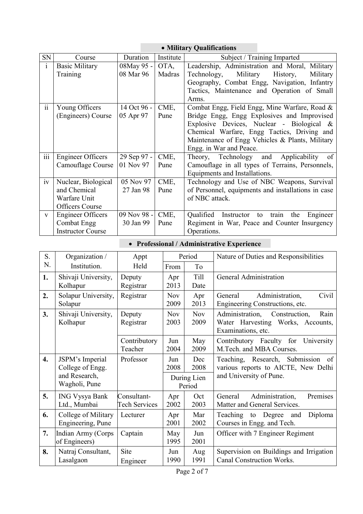# **Military Qualifications**

| SN           | Course                   | Duration    | Institute | Subject / Training Imparted                        |  |  |
|--------------|--------------------------|-------------|-----------|----------------------------------------------------|--|--|
| $\mathbf{i}$ | <b>Basic Military</b>    | 08May 95 -  | OTA,      | Leadership, Administration and Moral, Military     |  |  |
|              | <b>Training</b>          | 08 Mar 96   | Madras    | Military<br>Technology,<br>History,<br>Military    |  |  |
|              |                          |             |           | Geography, Combat Engg, Navigation, Infantry       |  |  |
|              |                          |             |           | Tactics, Maintenance and Operation of Small        |  |  |
|              |                          |             |           | Arms.                                              |  |  |
| ii           | Young Officers           | 14 Oct 96 - | CME,      | Combat Engg, Field Engg, Mine Warfare, Road &      |  |  |
|              | (Engineers) Course       | 05 Apr 97   | Pune      | Bridge Engg, Engg Explosives and Improvised        |  |  |
|              |                          |             |           | Explosive Devices, Nuclear - Biological &          |  |  |
|              |                          |             |           | Chemical Warfare, Engg Tactics, Driving and        |  |  |
|              |                          |             |           | Maintenance of Engg Vehicles & Plants, Military    |  |  |
|              |                          |             |           | Engg. in War and Peace.                            |  |  |
| 111          | <b>Engineer Officers</b> | 29 Sep 97 - | CME,      | Applicability<br>Theory, Technology and<br>of      |  |  |
|              | Camouflage Course        | 01 Nov 97   | Pune      | Camouflage in all types of Terrains, Personnels,   |  |  |
|              |                          |             |           | Equipments and Installations.                      |  |  |
| iv           | Nuclear, Biological      | 05 Nov 97   | CME,      | Technology and Use of NBC Weapons, Survival        |  |  |
|              | and Chemical             | 27 Jan 98   | Pune      | of Personnel, equipments and installations in case |  |  |
|              | Warfare Unit             |             |           | of NBC attack.                                     |  |  |
|              | <b>Officers Course</b>   |             |           |                                                    |  |  |
| $\mathbf{V}$ | <b>Engineer Officers</b> | 09 Nov 98 - | CME,      | Instructor to train the<br>Qualified<br>Engineer   |  |  |
|              | Combat Engg              | 30 Jan 99   | Pune      | Regiment in War, Peace and Counter Insurgency      |  |  |
|              | <b>Instructor Course</b> |             |           | Operations.                                        |  |  |

• Professional / Administrative Experience

| S.               | Organization /                           | Appt                                | Period             |                       | Nature of Duties and Responsibilities                                                                     |  |
|------------------|------------------------------------------|-------------------------------------|--------------------|-----------------------|-----------------------------------------------------------------------------------------------------------|--|
| N.               | Institution.                             | Held                                | From               | To                    |                                                                                                           |  |
| 1.               | Shivaji University,<br>Kolhapur          | Deputy<br>Registrar                 | Apr<br>2013        | Till<br>Date          | General Administration                                                                                    |  |
| 2.               | Solapur University,<br>Solapur           | Registrar                           | <b>Nov</b><br>2009 | Apr<br>2013           | Administration,<br>Civil<br>General<br>Engineering Constructions, etc.                                    |  |
| 3.               | Shivaji University,<br>Kolhapur          | Deputy<br>Registrar                 | <b>Nov</b><br>2003 | <b>Nov</b><br>2009    | Administration,<br>Construction,<br>Rain<br>Water Harvesting Works, Accounts,<br>Examinations, etc.       |  |
|                  |                                          | Contributory<br>Teacher             | Jun<br>2004        | May<br>2009           | Contributory Faculty for<br>University<br>M.Tech. and MBA Courses.                                        |  |
| $\overline{4}$ . | JSPM's Imperial<br>College of Engg.      | Professor                           | Jun<br>2008        | Dec<br>2008           | Submission<br>Teaching, Research,<br>of<br>various reports to AICTE, New Delhi<br>and University of Pune. |  |
|                  | and Research,<br>Wagholi, Pune           |                                     |                    | During Lien<br>Period |                                                                                                           |  |
| 5.               | <b>ING Vysya Bank</b><br>Ltd., Mumbai    | Consultant-<br><b>Tech Services</b> | Apr<br>2002        | Oct<br>2003           | Administration,<br>General<br>Premises<br>Matter and General Services.                                    |  |
| 6.               | College of Military<br>Engineering, Pune | Lecturer                            | Apr<br>2001        | Mar<br>2002           | Teaching to Degree<br>Diploma<br>and<br>Courses in Engg. and Tech.                                        |  |
| 7.               | Indian Army (Corps<br>of Engineers)      | Captain                             | May<br>1995        | Jun<br>2001           | Officer with 7 Engineer Regiment                                                                          |  |
| 8.               | Natraj Consultant,<br>Lasalgaon          | Site<br>Engineer                    | Jun<br>1990        | Aug<br>1991           | Supervision on Buildings and Irrigation<br>Canal Construction Works.                                      |  |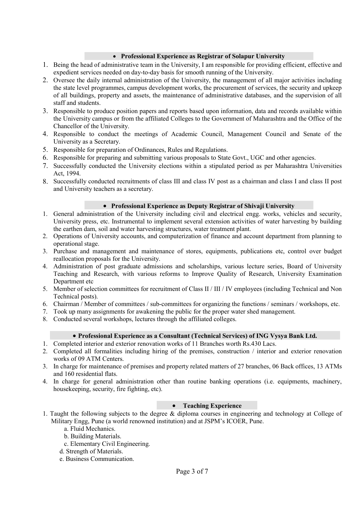## Professional Experience as Registrar of Solapur University

- 1. Being the head of administrative team in the University, I am responsible for providing efficient, effective and expedient services needed on day-to-day basis for smooth running of the University.
- 2. Oversee the daily internal administration of the University, the management of all major activities including the state level programmes, campus development works, the procurement of services, the security and upkeep of all buildings, property and assets, the maintenance of administrative databases, and the supervision of all staff and students.
- 3. Responsible to produce position papers and reports based upon information, data and records available within the University campus or from the affiliated Colleges to the Government of Maharashtra and the Office of the Chancellor of the University.
- 4. Responsible to conduct the meetings of Academic Council, Management Council and Senate of the University as a Secretary.
- 5. Responsible for preparation of Ordinances, Rules and Regulations.
- 6. Responsible for preparing and submitting various proposals to State Govt., UGC and other agencies.
- 7. Successfully conducted the University elections within a stipulated period as per Maharashtra Universities Act, 1994.
- 8. Successfully conducted recruitments of class III and class IV post as a chairman and class I and class II post and University teachers as a secretary.

#### • Professional Experience as Deputy Registrar of Shivaji University

- 1. General administration of the University including civil and electrical engg. works, vehicles and security, University press, etc. Instrumental to implement several extension activities of water harvesting by building the earthen dam, soil and water harvesting structures, water treatment plant.
- 2. Operations of University accounts, and computerization of finance and account department from planning to operational stage.
- 3. Purchase and management and maintenance of stores, equipments, publications etc, control over budget reallocation proposals for the University.
- 4. Administration of post graduate admissions and scholarships, various lecture series, Board of University Teaching and Research, with various reforms to Improve Quality of Research, University Examination Department etc
- 5. Member of selection committees for recruitment of Class II / III / IV employees (including Technical and Non Technical posts).
- 6. Chairman / Member of committees / sub-committees for organizing the functions / seminars / workshops, etc.
- 7. Took up many assignments for awakening the public for the proper water shed management.
- 8. Conducted several workshops, lectures through the affiliated colleges.

#### Professional Experience as a Consultant (Technical Services) of ING Vysya Bank Ltd.

- 1. Completed interior and exterior renovation works of 11 Branches worth Rs.430 Lacs.
- 2. Completed all formalities including hiring of the premises, construction / interior and exterior renovation works of 09 ATM Centers.
- 3. In charge for maintenance of premises and property related matters of 27 branches, 06 Back offices, 13 ATMs and 160 residential flats.
- 4. In charge for general administration other than routine banking operations (i.e. equipments, machinery, housekeeping, security, fire fighting, etc).

# • Teaching Experience

- 1. Taught the following subjects to the degree & diploma courses in engineering and technology at College of Military Engg, Pune (a world renowned institution) and at JSPM's ICOER, Pune.
	- a. Fluid Mechanics.
	- b. Building Materials.
	- c. Elementary Civil Engineering.
	- d. Strength of Materials.
	- e. Business Communication.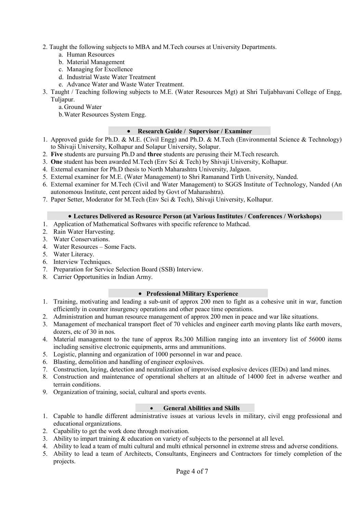- 2. Taught the following subjects to MBA and M.Tech courses at University Departments.
	- a. Human Resources
	- b. Material Management
	- c. Managing for Excellence
	- d. Industrial Waste Water Treatment
	- e. Advance Water and Waste Water Treatment.
- 3. Taught / Teaching following subjects to M.E. (Water Resources Mgt) at Shri Tuljabhavani College of Engg, Tuljapur.
	- a.Ground Water
	- b.Water Resources System Engg.

# Research Guide / Supervisor / Examiner

- 1. Approved guide for Ph.D. & M.E. (Civil Engg) and Ph.D. & M.Tech (Environmental Science & Technology) to Shivaji University, Kolhapur and Solapur University, Solapur.
- 2. Five students are pursuing Ph.D and three students are perusing their M.Tech research.
- 3. One student has been awarded M.Tech (Env Sci & Tech) by Shivaji University, Kolhapur.
- 4. External examiner for Ph.D thesis to North Maharashtra University, Jalgaon.
- 5. External examiner for M.E. (Water Management) to Shri Ramanand Tirth University, Nanded.
- 6. External examiner for M.Tech (Civil and Water Management) to SGGS Institute of Technology, Nanded (An autonomous Institute, cent percent aided by Govt of Maharashtra).
- 7. Paper Setter, Moderator for M.Tech (Env Sci & Tech), Shivaji University, Kolhapur.

## Lectures Delivered as Resource Person (at Various Institutes / Conferences / Workshops)

- 1. Application of Mathematical Softwares with specific reference to Mathcad.
- 2. Rain Water Harvesting.
- 3. Water Conservations.
- 4. Water Resources Some Facts.
- 5. Water Literacy.
- 6. Interview Techniques.
- 7. Preparation for Service Selection Board (SSB) Interview.
- 8. Carrier Opportunities in Indian Army.

#### • Professional Military Experience

- 1. Training, motivating and leading a sub-unit of approx 200 men to fight as a cohesive unit in war, function efficiently in counter insurgency operations and other peace time operations.
- 2. Administration and human resource management of approx 200 men in peace and war like situations.
- 3. Management of mechanical transport fleet of 70 vehicles and engineer earth moving plants like earth movers, dozers, etc of 30 in nos.
- 4. Material management to the tune of approx Rs.300 Million ranging into an inventory list of 56000 items including sensitive electronic equipments, arms and ammunitions.
- 5. Logistic, planning and organization of 1000 personnel in war and peace.
- 6. Blasting, demolition and handling of engineer explosives.
- 7. Construction, laying, detection and neutralization of improvised explosive devices (IEDs) and land mines.
- 8. Construction and maintenance of operational shelters at an altitude of 14000 feet in adverse weather and terrain conditions.
- 9. Organization of training, social, cultural and sports events.

#### General Abilities and Skills

- 1. Capable to handle different administrative issues at various levels in military, civil engg professional and educational organizations.
- 2. Capability to get the work done through motivation.
- 3. Ability to impart training & education on variety of subjects to the personnel at all level.
- 4. Ability to lead a team of multi cultural and multi ethnical personnel in extreme stress and adverse conditions.
- 5. Ability to lead a team of Architects, Consultants, Engineers and Contractors for timely completion of the projects.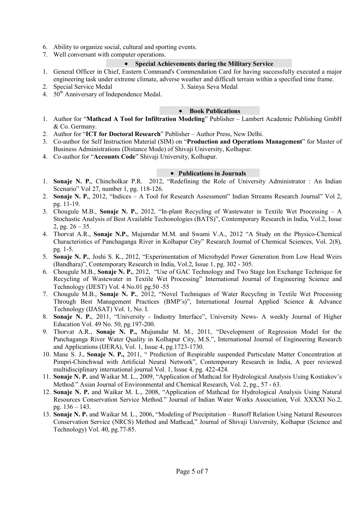- 6. Ability to organize social, cultural and sporting events.
- 7. Well conversant with computer operations.

## Special Achievements during the Military Service

- 1. General Officer in Chief, Eastern Command's Commendation Card for having successfully executed a major engineering task under extreme climate, adverse weather and difficult terrain within a specified time frame.
- 2. Special Service Medal 3. Sainya Seva Medal
- 4.  $50<sup>th</sup>$  Anniversary of Independence Medal.

#### • Book Publications

- 1. Author for "Mathcad A Tool for Infiltration Modeling" Publisher Lambert Academic Publishing GmbH & Co. Germany.
- 2. Author for "ICT for Doctoral Research" Publisher Author Press, New Delhi.
- 3. Co-author for Self Instruction Material (SIM) on "Production and Operations Management" for Master of Business Administrations (Distance Mode) of Shivaji University, Kolhapur.
- 4. Co-author for "Accounts Code" Shivaji University, Kolhapur.

#### • Publications in Journals

- 1. Sonaje N. P., Chincholkar P.R. 2012, "Redefining the Role of University Administrator : An Indian Scenario" Vol 27, number 1, pg. 118-126.
- 2. Sonaje N. P., 2012, "Indices A Tool for Research Assessment" Indian Streams Research Journal" Vol 2, pg. 11-19.
- 3. Chougule M.B., Sonaje N. P., 2012, "In-plant Recycling of Wastewater in Textile Wet Processing A Stochastic Analysis of Best Available Techonologies (BATS)", Contemporary Research in India, Vol.2, Issue 2, pg.  $26 - 35$ .
- 4. Thorvat A.R., Sonaje N.P., Mujumdar M.M. and Swami V.A., 2012 "A Study on the Physico-Chemical Characteristics of Panchaganga River in Kolhapur City" Research Journal of Chemical Sciences, Vol. 2(8), pg. 1-5.
- 5. Sonaje N. P., Joshi S. K., 2012, "Experimentation of Microhydel Power Generation from Low Head Weirs (Bandhara)", Contemporary Research in India, Vol.2, Issue 1, pg. 302 - 305.
- 6. Chougule M.B., Sonaje N. P., 2012, "Use of GAC Technology and Two Stage Ion Exchange Technique for Recycling of Wastewater in Textile Wet Processing" International Journal of Engineering Science and Technology (IJEST) Vol. 4 No.01 pg.50 -55
- 7. Chougule M.B., Sonaje N. P., 2012, "Novel Techniques of Water Recycling in Textile Wet Processing Through Best Management Practices (BMP's)", International Journal Applied Science & Advance Technology (IJASAT) Vol. 1, No. I.
- 8. Sonaje N. P., 2011, "University Industry Interface", University News- A weekly Journal of Higher Education Vol. 49 No. 50, pg.197-200.
- 9. Thorvat A.R., Sonaje N. P., Mujumdar M. M., 2011, "Development of Regression Model for the Panchaganga River Water Quality in Kolhapur City, M.S.", International Journal of Engineering Research and Applications (IJERA), Vol. 1, Issue 4, pg.1723-1730.
- 10. Mane S. J., Sonaje N. P., 2011, " Prediction of Respirable suspended Particulate Matter Concentration at Pimpri-Chinchwad with Artificial Neural Network", Contemporary Research in India, A peer reviewed multidisciplinary international journal Vol. 1, Issue 4, pg. 422-424.
- 11. Sonaje N. P. and Waikar M. L., 2009, "Application of Mathcad for Hydrological Analysis Using Kostiakov's Method." Asian Journal of Environmental and Chemical Research, Vol. 2, pg., 57 - 63.
- 12. Sonaje N. P. and Waikar M. L., 2008, "Application of Mathcad for Hydrological Analysis Using Natural Resources Conservation Service Method." Journal of Indian Water Works Association, Vol. XXXXI No.2, pg. 136 – 143.
- 13. Sonaje N. P. and Waikar M. L., 2006, "Modeling of Precipitation Runoff Relation Using Natural Resources Conservation Service (NRCS) Method and Mathcad," Journal of Shivaji University, Kolhapur (Science and Technology) Vol. 40, pg.77-85.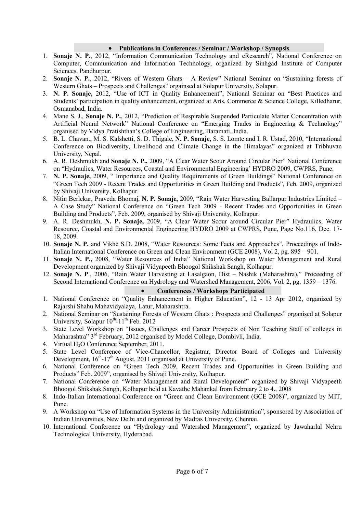#### Publications in Conferences / Seminar / Workshop / Synopsis

- 1. Sonaje N. P., 2012, "Information Communication Technology and eResearch", National Conference on Computer, Communication and Information Technology, organized by Sinhgad Institute of Computer Sciences, Pandhurpur.
- 2. Sonaje N. P., 2012, "Rivers of Western Ghats A Review" National Seminar on "Sustaining forests of Western Ghats – Prospects and Challenges" orgainsed at Solapur University, Solapur.
- 3. N. P. Sonaje, 2012, "Use of ICT in Quality Enhancement", National Seminar on "Best Practices and Students' participation in quality enhancement, organized at Arts, Commerce & Science College, Killedharur, Osmanabad, India.
- 4. Mane S. J., Sonaje N. P., 2012, "Prediction of Respirable Suspended Particulate Matter Concentration with Artificial Neural Network" National Conference on "Emerging Trades in Engineering & Technology" organised by Vidya Pratishthan's College of Engineering, Baramati, India.
- 5. B. L. Chavan., M. S. Kalshetti, S. D. Thigale, N. P. Sonaje, S. S. Lomte and I. R. Ustad, 2010, "International Conference on Biodiversity, Livelihood and Climate Change in the Himalayas" organized at Tribhuvan University, Nepal.
- 6. A. R. Deshmukh and Sonaje N. P., 2009, "A Clear Water Scour Around Circular Pier" National Conference on "Hydraulics, Water Resources, Coastal and Environmental Engineering' HYDRO 2009, CWPRS, Pune.
- 7. N. P. Sonaje, 2009, " Importance and Quality Requirements of Green Buildings" National Conference on "Green Tech 2009 - Recent Trades and Opportunities in Green Building and Products", Feb. 2009, organized by Shivaji University, Kolhapur.
- 8. Nitin Berlekar, Praveda Bhomaj, N. P. Sonaje, 2009, "Rain Water Harvesting Ballarpur Industries Limited A Case Study" National Conference on "Green Tech 2009 - Recent Trades and Opportunities in Green Building and Products", Feb. 2009, organised by Shivaji University, Kolhapur.
- 9. A. R. Deshmukh, N. P. Sonaje, 2009, "A Clear Water Scour around Circular Pier" Hydraulics, Water Resource, Coastal and Environmental Engineering HYDRO 2009 at CWPRS, Pune, Page No.116, Dec. 17- 18, 2009.
- 10. Sonaje N. P. and Vikhe S.D. 2008, "Water Resources: Some Facts and Approaches", Proceedings of Indo-Italian International Conference on Green and Clean Environment (GCE 2008), Vol 2, pg. 895 – 901.
- 11. Sonaje N. P., 2008, "Water Resources of India" National Workshop on Water Management and Rural Development organized by Shivaji Vidyapeeth Bhoogol Shikshak Sangh, Kolhapur.
- 12. Sonaje N. P., 2006, "Rain Water Harvesting at Lasalgaon, Dist Nashik (Maharashtra)," Proceeding of Second International Conference on Hydrology and Watershed Management, 2006, Vol. 2, pg. 1359 – 1376.

## Conferences / Workshops Participated

- 1. National Conference on "Quality Enhancement in Higher Education", 12 13 Apr 2012, organized by Rajarshi Shahu Mahavidyalaya, Latur, Maharashtra.
- 2. National Seminar on "Sustaining Forests of Western Ghats : Prospects and Challenges" organised at Solapur University, Solapur  $10^{th}$ -11<sup>th</sup> Feb. 2012
- 3. State Level Workshop on "Issues, Challenges and Career Prospects of Non Teaching Staff of colleges in Maharashtra" 3<sup>rd</sup> February, 2012 organised by Model College, Dombivli, India.
- 4. Virtual H<sub>2</sub>O Conference September, 2011.
- 5. State Level Conference of Vice-Chancellor, Registrar, Director Board of Colleges and University Development,  $16<sup>th</sup>$ -17<sup>th</sup> August, 2011 organised at University of Pune.
- 6. National Conference on "Green Tech 2009, Recent Trades and Opportunities in Green Building and Products" Feb. 2009", organised by Shivaji University, Kolhapur.
- 7. National Conference on "Water Management and Rural Development" organized by Shivaji Vidyapeeth Bhoogol Shikshak Sangh, Kolhapur held at Kavathe Mahankal from February 2 to 4., 2008
- 8. Indo-Italian International Conference on "Green and Clean Environment (GCE 2008)", organized by MIT, Pune.
- 9. A Workshop on "Use of Information Systems in the University Administration", sponsored by Association of Indian Universities, New Delhi and organized by Madras University, Chennai.
- 10. International Conference on "Hydrology and Watershed Management", organized by Jawaharlal Nehru Technological University, Hyderabad.